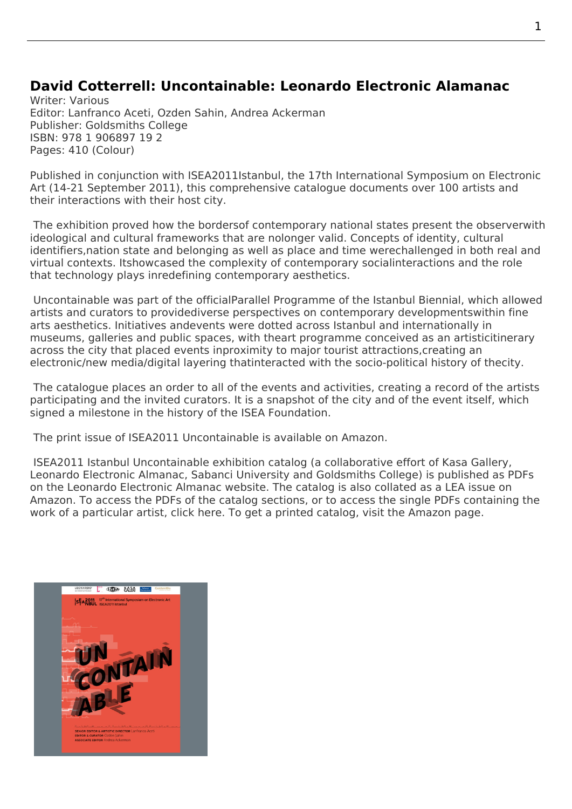## **David Cotterrell: Uncontainable: Leonardo Electronic Alamanac**

Writer: Various Editor: Lanfranco Aceti, Ozden Sahin, Andrea Ackerman Publisher: Goldsmiths College ISBN: 978 1 906897 19 2 Pages: 410 (Colour)

Published in conjunction with ISEA2011Istanbul, the 17th International Symposium on Electronic Art (14-21 September 2011), this comprehensive catalogue documents over 100 artists and their interactions with their host city.

 The exhibition proved how t[he borders](http://isea2011.sabanciuniv.edu/prof.cotterrell)of contemporary national states present the observerwith ideological and cultural frameworks that are nolonger valid. Concepts of identity, cultural identifiers,nation state and belonging as well as place and time werechallenged in both real and virtual contexts. Itshowcased the complexity of contemporary socialinteractions and the role that technology plays inredefining contemporary aesthetics.

Uncontainable was part of the officialParallel Programme of the Istanbul Biennial, which allowed artists and curators to providediverse perspectives on contemporary developmentswithin fine arts aesthetics. Initiatives andevents were dotted across Istanbul and internationally in museums, galleries and public spaces, with theart programme conceived as an artisticitinerary [across the city](http://isea2011.sabanciuniv.edu/other-event/curatorial-concept-isea2011-istanbul) that placed events inproximity to major tourist at[tractions,creating](http://12b.iksv.org/en/) an electronic/new media/digital layering thatinteracted with the socio-political history of thecity.

 The catalogue places an order to all of the events and activities, creating a record of the artists participating and the invited curators. It is a snapshot of the city and of the event itself, which signed a milestone in the history of the ISEA Foundation.

The print issue of ISEA2011 Uncontainable is available on Amazon.

 ISEA2011 Istanbul Uncontainable exhibition catalog (a collaborative effort of Kasa Gallery, Leonardo Electronic Almanac, Sabanci University and Goldsmiths College) is published as PDFs on the Leonardo Electronic Almanac website. The catalog i[s also co](http://www.amazon.co.uk/Uncontainable-Leonardo-Electronic-Almanac-Vol/dp/1906897190/ref=sr_1_1?ie=UTF8&qid=1365372366&sr=8-1&keywords=uncontainable+leonardo)llated as a LEA issue on Amazon. To access the PDFs of the catalog sections, or to access the single PDFs containing the work of a particular artist, click here. To get a printed catalog, visit the Amaz[on page.](http://kasagaleri.sabanciuniv.edu)